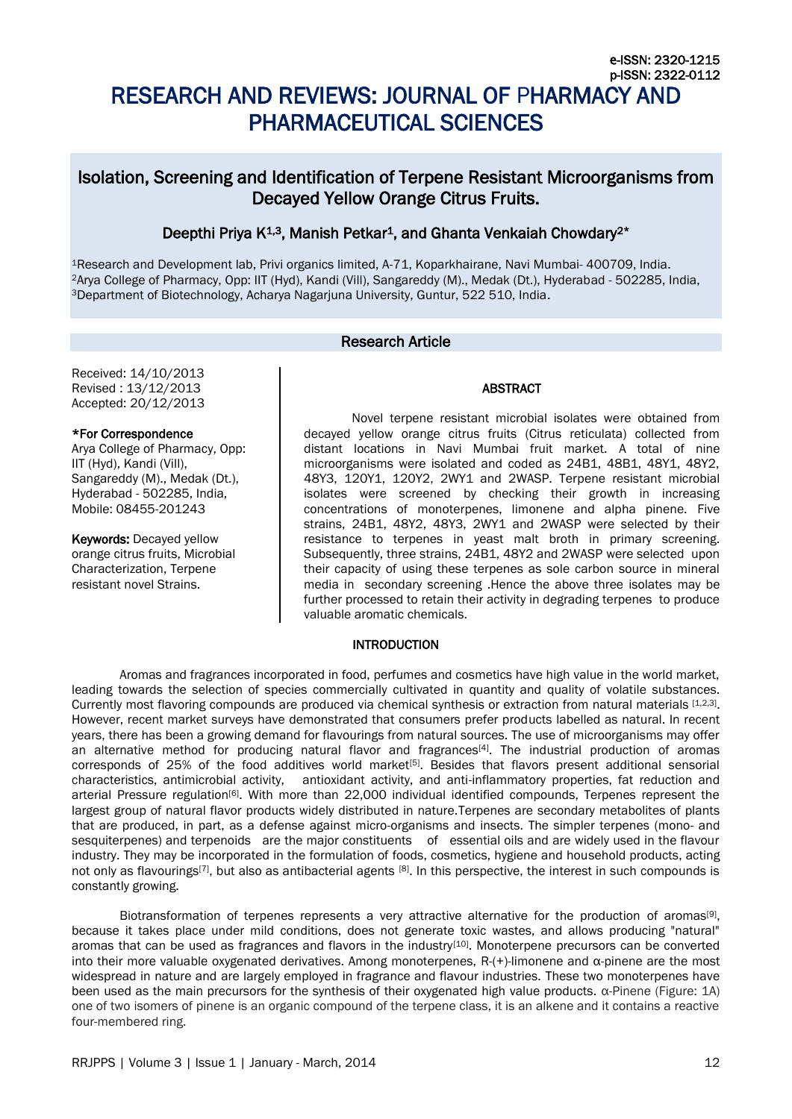# [RESEARCH AND REVIEWS: JOURNAL OF](http://www.rroij.com/jpps/index.php/jpps) PHARMACY AND [PHARMACEUTICAL SCIENCES](http://www.rroij.com/jpps/index.php/jpps)

# Isolation, Screening and Identification of Terpene Resistant Microorganisms from Decayed Yellow Orange Citrus Fruits.

# Deepthi Priya K<sup>1,3</sup>, Manish Petkar<sup>1</sup>, and Ghanta Venkaiah Chowdary<sup>2\*</sup>

<sup>1</sup>Research and Development lab, Privi organics limited, A-71, Koparkhairane, Navi Mumbai- 400709, India. <sup>2</sup>Arya College of Pharmacy, Opp: IIT (Hyd), Kandi (Vill), Sangareddy (M)., Medak (Dt.), Hyderabad - 502285, India, <sup>3</sup>Department of Biotechnology, Acharya Nagarjuna University, Guntur, 522 510, India.

# Research Article

Received: 14/10/2013 Revised : 13/12/2013 Accepted: 20/12/2013

# \*For Correspondence

Arya College of Pharmacy, Opp: IIT (Hyd), Kandi (Vill), Sangareddy (M)., Medak (Dt.), Hyderabad - 502285, India, Mobile: 08455-201243

Keywords: Decayed yellow orange citrus fruits, Microbial Characterization, Terpene resistant novel Strains.

Novel terpene resistant microbial isolates were obtained from decayed yellow orange citrus fruits (Citrus reticulata) collected from distant locations in Navi Mumbai fruit market. A total of nine microorganisms were isolated and coded as 24B1, 48B1, 48Y1, 48Y2, 48Y3, 120Y1, 120Y2, 2WY1 and 2WASP. Terpene resistant microbial isolates were screened by checking their growth in increasing concentrations of monoterpenes, limonene and alpha pinene. Five strains, 24B1, 48Y2, 48Y3, 2WY1 and 2WASP were selected by their resistance to terpenes in yeast malt broth in primary screening. Subsequently, three strains, 24B1, 48Y2 and 2WASP were selected upon their capacity of using these terpenes as sole carbon source in mineral media in secondary screening .Hence the above three isolates may be further processed to retain their activity in degrading terpenes to produce valuable aromatic chemicals.

**ABSTRACT** 

# **INTRODUCTION**

Aromas and fragrances incorporated in food, perfumes and cosmetics have high value in the world market, leading towards the selection of species commercially cultivated in quantity and quality of volatile substances. Currently most flavoring compounds are produced via chemical synthesis or extraction from natural materials [1,2,3]. However, recent market surveys have demonstrated that consumers prefer products labelled as natural. In recent years, there has been a growing demand for flavourings from natural sources. The use of microorganisms may offer an alternative method for producing natural flavor and fragrances<sup>[4]</sup>. The industrial production of aromas corresponds of 25% of the food additives world market<sup>[5]</sup>. Besides that flavors present additional sensorial characteristics, antimicrobial activity, antioxidant activity, and anti-inflammatory properties, fat reduction and arterial Pressure regulation<sup>[6]</sup>. With more than 22,000 individual identified compounds, Terpenes represent the largest group of natural flavor products widely distributed in nature.Terpenes are secondary metabolites of plants that are produced, in part, as a defense against micro-organisms and insects. The simpler terpenes (mono- and sesquiterpenes) and terpenoids are the major constituents of essential oils and are widely used in the flavour industry. They may be incorporated in the formulation of foods, cosmetics, hygiene and household products, acting not only as flavourings<sup>[7]</sup>, but also as antibacterial agents [8]. In this perspective, the interest in such compounds is constantly growing.

Biotransformation of terpenes represents a very attractive alternative for the production of aromas<sup>[9]</sup>, because it takes place under mild conditions, does not generate toxic wastes, and allows producing "natural" aromas that can be used as fragrances and flavors in the industry<sup>[10]</sup>. Monoterpene precursors can be converted into their more valuable oxygenated derivatives. Among monoterpenes, R-(+)-limonene and α-pinene are the most widespread in nature and are largely employed in fragrance and flavour industries. These two monoterpenes have been used as the main precursors for the synthesis of their oxygenated high value products. α-Pinene (Figure: 1A) one of two isomers of pinene is an organic compound of the terpene class, it is an alkene and it contains a reactive four-membered ring.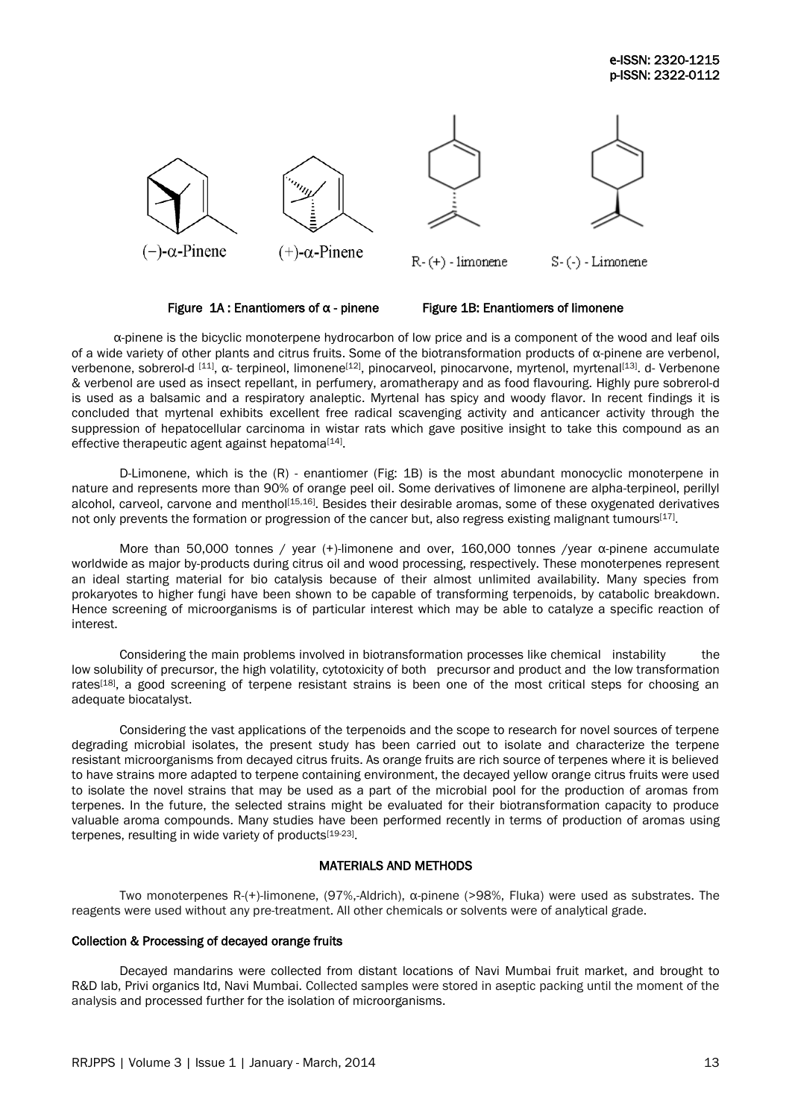





 $R-(+)$  - limonene

 $S-(-)$  - Limonene

Figure  $1A$ : Enantiomers of  $\alpha$  - pinene Figure 1B: Enantiomers of limonene

α-pinene is the bicyclic monoterpene hydrocarbon of low price and is a component of the wood and leaf oils of a wide variety of other plants and citrus fruits. Some of the biotransformation products of α-pinene are verbenol, verbenone, sobrerol-d [11], α- terpineol, limonene<sup>[12]</sup>, pinocarveol, pinocarvone, myrtenol, myrtenal<sup>[13]</sup>. d- Verbenone & verbenol are used as insect repellant, in [perfumery,](http://en.wikipedia.org/wiki/Perfume) aromatherapy and as food flavouring. Highly pure sobrerol-d is used as a balsamic and a respiratory analeptic. Myrtenal has spicy and woody flavor. In recent findings it is concluded that myrtenal exhibits excellent free radical scavenging activity and anticancer activity through the suppression of hepatocellular carcinoma in wistar rats which gave positive insight to take this compound as an effective therapeutic agent against hepatoma<sup>[14]</sup>.

D-Limonene, which is the (R) - enantiomer (Fig: 1B) is the most abundant monocyclic monoterpene in nature and represents more than 90% of orange peel oil. Some derivatives of limonene are alpha-terpineol, perillyl alcohol, carveol, carvone and menthol<sup>[15,16]</sup>. Besides their desirable aromas, some of these oxygenated derivatives not only prevents the formation or progression of the cancer but, also regress existing malignant tumours<sup>[17]</sup>.

More than 50,000 tonnes / year (+)-limonene and over, 160,000 tonnes /year α-pinene accumulate worldwide as major by-products during citrus oil and wood processing, respectively. These monoterpenes represent an ideal starting material for bio catalysis because of their almost unlimited availability. Many species from prokaryotes to higher fungi have been shown to be capable of transforming terpenoids, by catabolic breakdown. Hence screening of microorganisms is of particular interest which may be able to catalyze a specific reaction of interest.

Considering the main problems involved in biotransformation processes like chemical instability the low solubility of precursor, the high volatility, cytotoxicity of both precursor and product and the low transformation rates<sup>[18]</sup>, a good screening of terpene resistant strains is been one of the most critical steps for choosing an adequate biocatalyst.

Considering the vast applications of the terpenoids and the scope to research for novel sources of terpene degrading microbial isolates, the present study has been carried out to isolate and characterize the terpene resistant microorganisms from decayed citrus fruits. As orange fruits are rich source of terpenes where it is believed to have strains more adapted to terpene containing environment, the decayed yellow orange citrus fruits were used to isolate the novel strains that may be used as a part of the microbial pool for the production of aromas from terpenes. In the future, the selected strains might be evaluated for their biotransformation capacity to produce valuable aroma compounds. Many studies have been performed recently in terms of production of aromas using terpenes, resulting in wide variety of products<sup>[19-23]</sup>.

# MATERIALS AND METHODS

Two monoterpenes R-(+)-limonene, (97%,-Aldrich), α-pinene (>98%, Fluka) were used as substrates. The reagents were used without any pre-treatment. All other chemicals or solvents were of analytical grade.

# Collection & Processing of decayed orange fruits

Decayed mandarins were collected from distant locations of Navi Mumbai fruit market, and brought to R&D lab, Privi organics ltd, Navi Mumbai. Collected samples were stored in aseptic packing until the moment of the analysis and processed further for the isolation of microorganisms.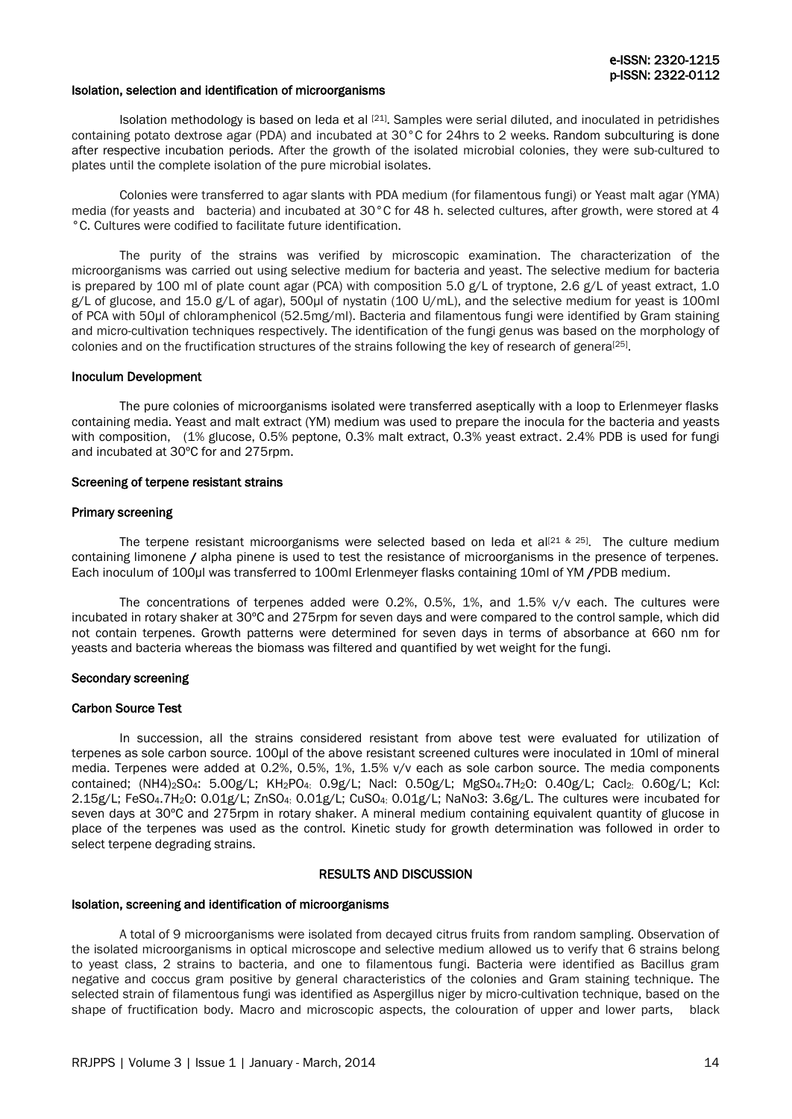#### Isolation, selection and identification of microorganisms

Isolation methodology is based on leda et al <sup>[21]</sup>. Samples were serial diluted, and inoculated in petridishes containing potato dextrose agar (PDA) and incubated at 30°C for 24hrs to 2 weeks. Random subculturing is done after respective incubation periods. After the growth of the isolated microbial colonies, they were sub-cultured to plates until the complete isolation of the pure microbial isolates.

Colonies were transferred to agar slants with PDA medium (for filamentous fungi) or Yeast malt agar (YMA) media (for yeasts and bacteria) and incubated at 30°C for 48 h. selected cultures, after growth, were stored at 4 °C. Cultures were codified to facilitate future identification.

The purity of the strains was verified by microscopic examination. The characterization of the microorganisms was carried out using selective medium for bacteria and yeast. The selective medium for bacteria is prepared by 100 ml of plate count agar (PCA) with composition 5.0 g/L of tryptone, 2.6 g/L of yeast extract, 1.0 g/L of glucose, and 15.0 g/L of agar), 500µl of nystatin (100 U/mL), and the selective medium for yeast is 100ml of PCA with 50μl of chloramphenicol (52.5mg/ml). Bacteria and filamentous fungi were identified by Gram staining and micro-cultivation techniques respectively. The identification of the fungi genus was based on the morphology of colonies and on the fructification structures of the strains following the key of research of genera<sup>[25]</sup>.

#### Inoculum Development

The pure colonies of microorganisms isolated were transferred aseptically with a loop to Erlenmeyer flasks containing media. Yeast and malt extract (YM) medium was used to prepare the inocula for the bacteria and yeasts with composition, (1% glucose, 0.5% peptone, 0.3% malt extract, 0.3% yeast extract. 2.4% PDB is used for fungi and incubated at 30ºC for and 275rpm.

#### Screening of terpene resistant strains

#### Primary screening

The terpene resistant microorganisms were selected based on leda et al<sup>[21 & 25]</sup>. The culture medium containing limonene / alpha pinene is used to test the resistance of microorganisms in the presence of terpenes. Each inoculum of 100µl was transferred to 100ml Erlenmeyer flasks containing 10ml of YM /PDB medium.

The concentrations of terpenes added were 0.2%, 0.5%, 1%, and 1.5% v/v each. The cultures were incubated in rotary shaker at 30ºC and 275rpm for seven days and were compared to the control sample, which did not contain terpenes. Growth patterns were determined for seven days in terms of absorbance at 660 nm for yeasts and bacteria whereas the biomass was filtered and quantified by wet weight for the fungi.

### Secondary screening

#### Carbon Source Test

In succession, all the strains considered resistant from above test were evaluated for utilization of terpenes as sole carbon source. 100µl of the above resistant screened cultures were inoculated in 10ml of mineral media. Terpenes were added at 0.2%, 0.5%, 1%, 1.5% v/v each as sole carbon source. The media components contained; (NH4)2SO4: 5.00g/L; KH2PO4: 0.9g/L; Nacl: 0.50g/L; MgSO4.7H2O: 0.40g/L; Cacl2: 0.60g/L; Kcl: 2.15g/L; FeSO4.7H2O: 0.01g/L; ZnSO4: 0.01g/L; CuSO4: 0.01g/L; NaNo3: 3.6g/L. The cultures were incubated for seven days at 30ºC and 275rpm in rotary shaker. A mineral medium containing equivalent quantity of glucose in place of the terpenes was used as the control. Kinetic study for growth determination was followed in order to select terpene degrading strains.

#### RESULTS AND DISCUSSION

# Isolation, screening and identification of microorganisms

A total of 9 microorganisms were isolated from decayed citrus fruits from random sampling. Observation of the isolated microorganisms in optical microscope and selective medium allowed us to verify that 6 strains belong to yeast class, 2 strains to bacteria, and one to filamentous fungi. Bacteria were identified as Bacillus gram negative and coccus gram positive by general characteristics of the colonies and Gram staining technique. The selected strain of filamentous fungi was identified as Aspergillus niger by micro-cultivation technique, based on the shape of fructification body. Macro and microscopic aspects, the colouration of upper and lower parts, black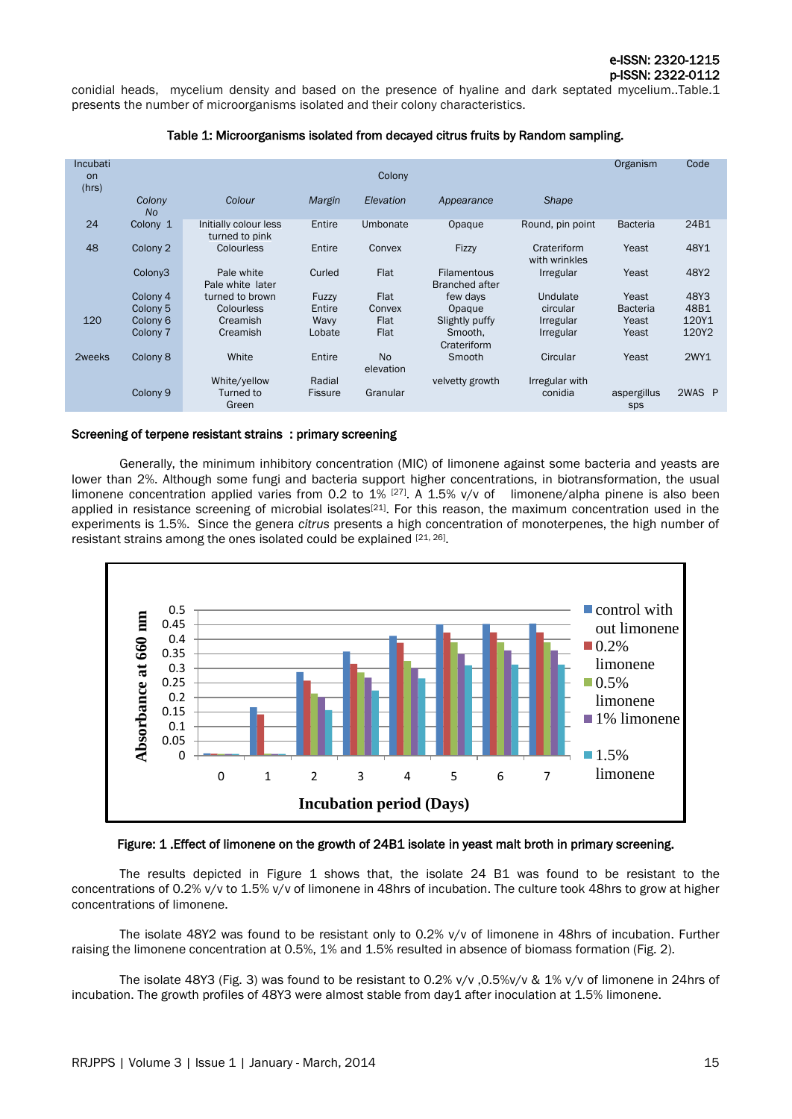conidial heads, mycelium density and based on the presence of hyaline and dark septated mycelium..Table.1 presents the number of microorganisms isolated and their colony characteristics.

# Table 1: Microorganisms isolated from decayed citrus fruits by Random sampling.

| Incubati<br>on<br>(hrs) |                     |                                         |                | Colony                 |                                             |                              | Organism           | Code   |
|-------------------------|---------------------|-----------------------------------------|----------------|------------------------|---------------------------------------------|------------------------------|--------------------|--------|
|                         | Colony<br><b>No</b> | Colour                                  | Margin         | Elevation              | Appearance                                  | <b>Shape</b>                 |                    |        |
| 24                      | Colony 1            | Initially colour less<br>turned to pink | Entire         | Umbonate               | Opaque                                      | Round, pin point             | <b>Bacteria</b>    | 24B1   |
| 48                      | Colony <sub>2</sub> | Colourless                              | Entire         | Convex                 | <b>Fizzy</b>                                | Crateriform<br>with wrinkles | Yeast              | 48Y1   |
|                         | Colony <sub>3</sub> | Pale white<br>Pale white later          | Curled         | Flat                   | <b>Filamentous</b><br><b>Branched after</b> | <b>Irregular</b>             | Yeast              | 48Y2   |
|                         | Colony 4            | turned to brown                         | Fuzzy          | <b>Flat</b>            | few days                                    | Undulate                     | Yeast              | 48Y3   |
|                         | Colony <sub>5</sub> | Colourless                              | Entire         | Convex                 | Opaque                                      | circular                     | <b>Bacteria</b>    | 48B1   |
| 120                     | Colony <sub>6</sub> | Creamish                                | Wavy           | Flat                   | Slightly puffy                              | <b>Irregular</b>             | Yeast              | 120Y1  |
|                         | Colony 7            | Creamish                                | Lobate         | Flat                   | Smooth.<br>Crateriform                      | <b>Irregular</b>             | Yeast              | 120Y2  |
| 2weeks                  | Colony 8            | White                                   | Entire         | <b>No</b><br>elevation | Smooth                                      | Circular                     | Yeast              | 2WY1   |
|                         |                     | White/yellow                            | Radial         |                        | velvetty growth                             | Irregular with               |                    |        |
|                         | Colony <sub>9</sub> | Turned to<br>Green                      | <b>Fissure</b> | Granular               |                                             | conidia                      | aspergillus<br>sps | 2WAS P |

#### Screening of terpene resistant strains : primary screening

Generally, the minimum inhibitory concentration (MIC) of limonene against some bacteria and yeasts are lower than 2%. Although some fungi and bacteria support higher concentrations, in biotransformation, the usual limonene concentration applied varies from 0.2 to  $1\%$  <sup>[27]</sup>. A 1.5% v/v of limonene/alpha pinene is also been applied in resistance screening of microbial isolates<sup>[21]</sup>. For this reason, the maximum concentration used in the experiments is 1.5%. Since the genera *citrus* presents a high concentration of monoterpenes, the high number of resistant strains among the ones isolated could be explained [21, 26].



# Figure: 1 .Effect of limonene on the growth of 24B1 isolate in yeast malt broth in primary screening.

The results depicted in Figure 1 shows that, the isolate 24 B1 was found to be resistant to the concentrations of 0.2% v/v to 1.5% v/v of limonene in 48hrs of incubation. The culture took 48hrs to grow at higher concentrations of limonene.

The isolate 48Y2 was found to be resistant only to 0.2% v/v of limonene in 48hrs of incubation. Further raising the limonene concentration at 0.5%, 1% and 1.5% resulted in absence of biomass formation (Fig. 2).

The isolate 48Y3 (Fig. 3) was found to be resistant to 0.2% v/v ,0.5%v/v & 1% v/v of limonene in 24hrs of incubation. The growth profiles of 48Y3 were almost stable from day1 after inoculation at 1.5% limonene.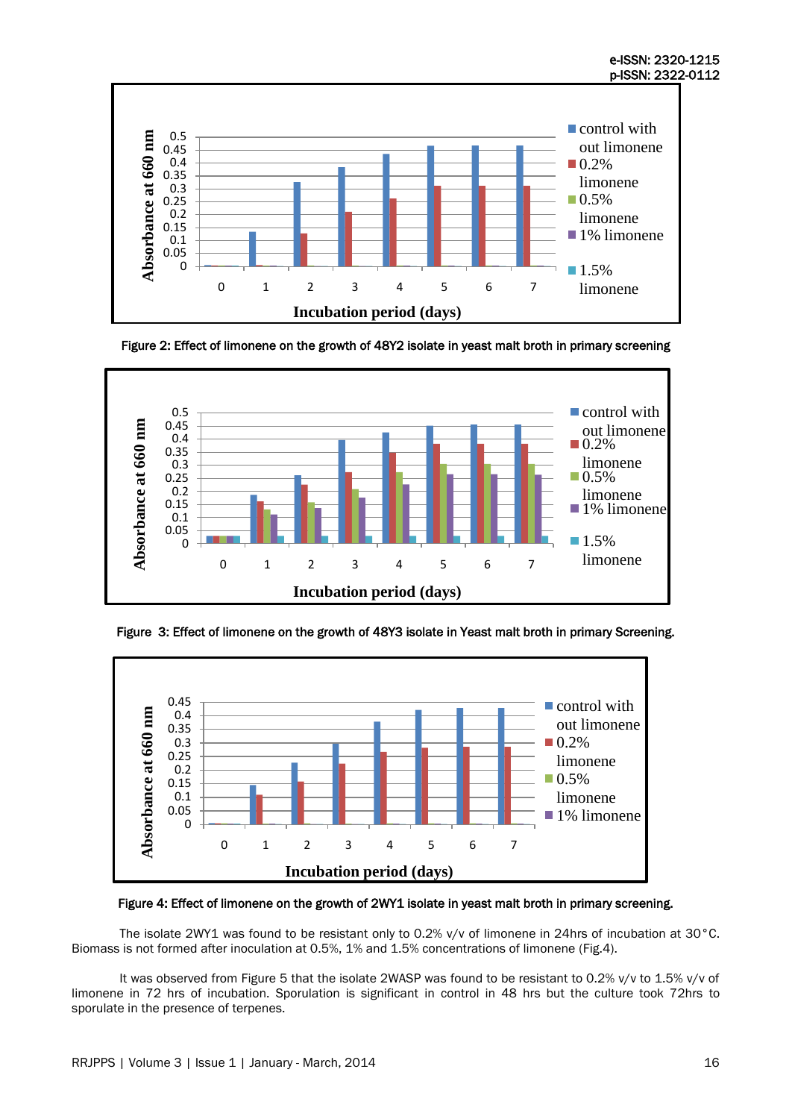

Figure 2: Effect of limonene on the growth of 48Y2 isolate in yeast malt broth in primary screening







Figure 4: Effect of limonene on the growth of 2WY1 isolate in yeast malt broth in primary screening.

The isolate 2WY1 was found to be resistant only to 0.2% v/v of limonene in 24hrs of incubation at 30°C. Biomass is not formed after inoculation at 0.5%, 1% and 1.5% concentrations of limonene (Fig.4).

It was observed from Figure 5 that the isolate 2WASP was found to be resistant to 0.2% v/v to 1.5% v/v of limonene in 72 hrs of incubation. Sporulation is significant in control in 48 hrs but the culture took 72hrs to sporulate in the presence of terpenes.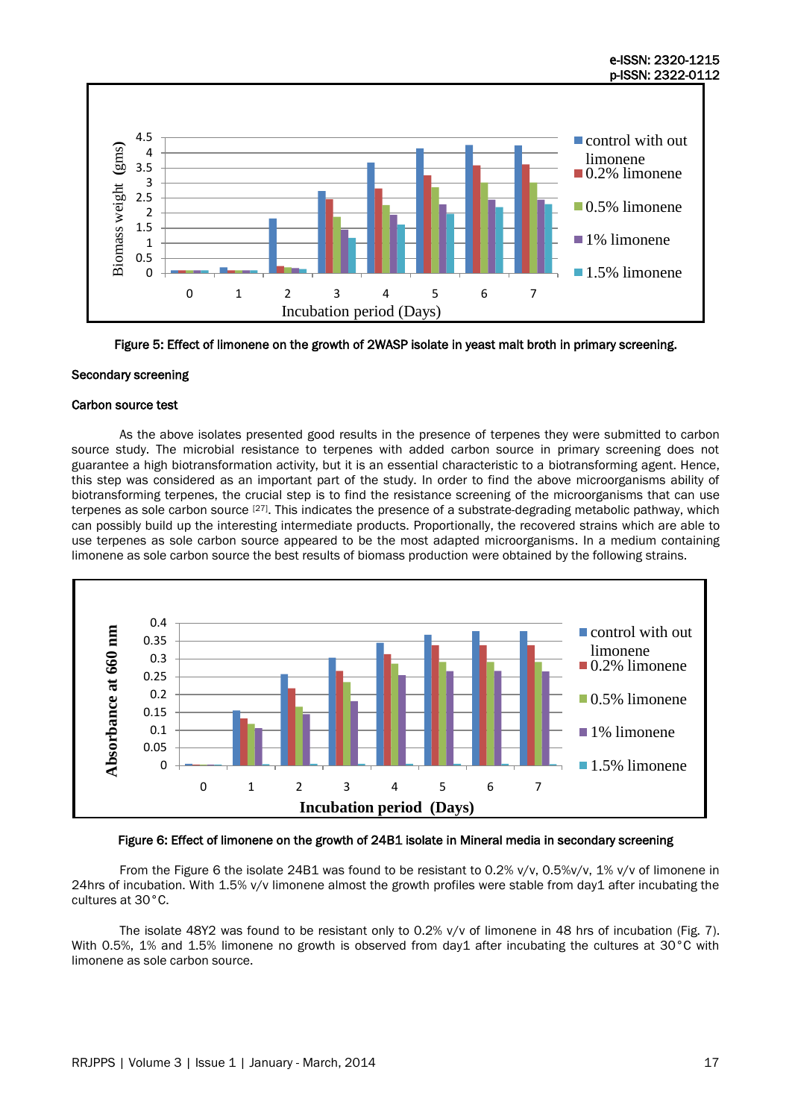

Figure 5: Effect of limonene on the growth of 2WASP isolate in yeast malt broth in primary screening.

# Secondary screening

#### Carbon source test

As the above isolates presented good results in the presence of terpenes they were submitted to carbon source study. The microbial resistance to terpenes with added carbon source in primary screening does not guarantee a high biotransformation activity, but it is an essential characteristic to a biotransforming agent. Hence, this step was considered as an important part of the study. In order to find the above microorganisms ability of biotransforming terpenes, the crucial step is to find the resistance screening of the microorganisms that can use terpenes as sole carbon source [27]. This indicates the presence of a substrate-degrading metabolic pathway, which can possibly build up the interesting intermediate products. Proportionally, the recovered strains which are able to use terpenes as sole carbon source appeared to be the most adapted microorganisms. In a medium containing limonene as sole carbon source the best results of biomass production were obtained by the following strains.



Figure 6: Effect of limonene on the growth of 24B1 isolate in Mineral media in secondary screening

From the Figure 6 the isolate 24B1 was found to be resistant to 0.2% v/v, 0.5%v/v, 1% v/v of limonene in 24hrs of incubation. With 1.5% v/v limonene almost the growth profiles were stable from day1 after incubating the cultures at 30°C.

The isolate 48Y2 was found to be resistant only to 0.2% v/v of limonene in 48 hrs of incubation (Fig. 7). With 0.5%, 1% and 1.5% limonene no growth is observed from day1 after incubating the cultures at 30°C with limonene as sole carbon source.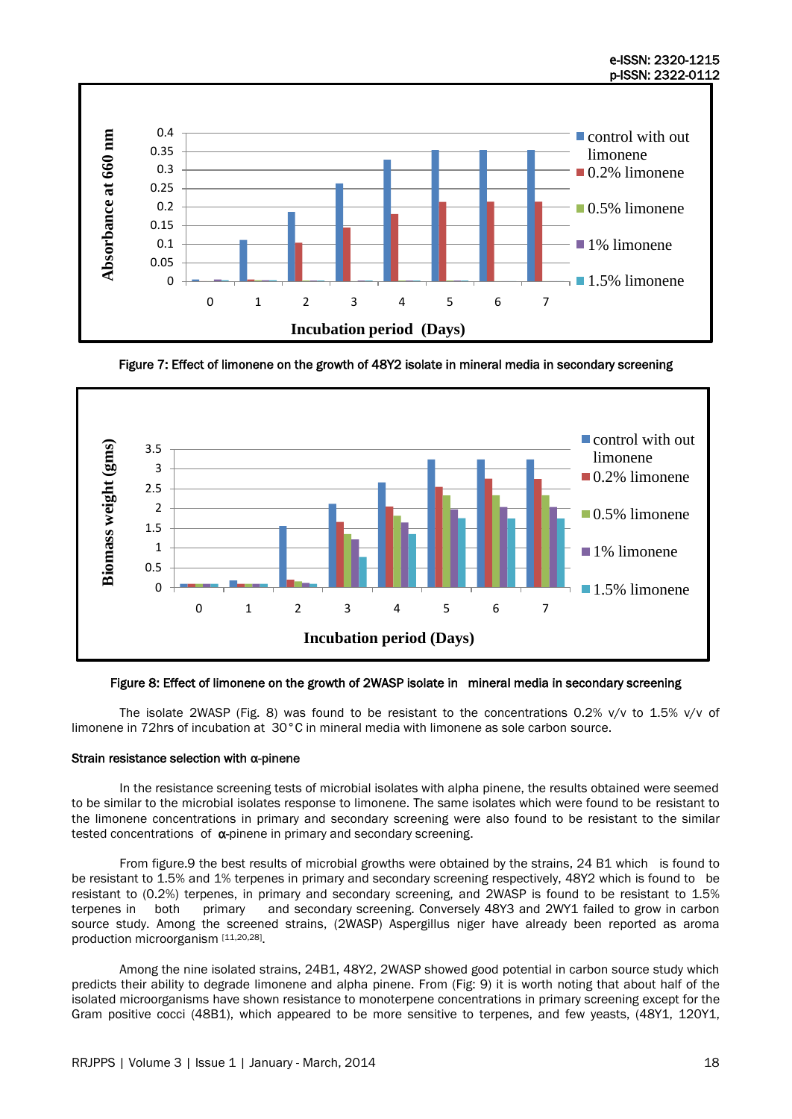

Figure 7: Effect of limonene on the growth of 48Y2 isolate in mineral media in secondary screening



# Figure 8: Effect of limonene on the growth of 2WASP isolate in mineral media in secondary screening

The isolate 2WASP (Fig. 8) was found to be resistant to the concentrations 0.2% v/v to 1.5% v/v of limonene in 72hrs of incubation at 30°C in mineral media with limonene as sole carbon source.

# Strain resistance selection with α-pinene

In the resistance screening tests of microbial isolates with alpha pinene, the results obtained were seemed to be similar to the microbial isolates response to limonene. The same isolates which were found to be resistant to the limonene concentrations in primary and secondary screening were also found to be resistant to the similar tested concentrations of  $\alpha$ -pinene in primary and secondary screening.

From figure.9 the best results of microbial growths were obtained by the strains, 24 B1 which is found to be resistant to 1.5% and 1% terpenes in primary and secondary screening respectively, 48Y2 which is found to be resistant to (0.2%) terpenes, in primary and secondary screening, and 2WASP is found to be resistant to 1.5% terpenes in both primary and secondary screening. Conversely 48Y3 and 2WY1 failed to grow in carbon source study. Among the screened strains, (2WASP) Aspergillus niger have already been reported as aroma production microorganism [11,20,28].

Among the nine isolated strains, 24B1, 48Y2, 2WASP showed good potential in carbon source study which predicts their ability to degrade limonene and alpha pinene. From (Fig: 9) it is worth noting that about half of the isolated microorganisms have shown resistance to monoterpene concentrations in primary screening except for the Gram positive cocci (48B1), which appeared to be more sensitive to terpenes, and few yeasts, (48Y1, 120Y1,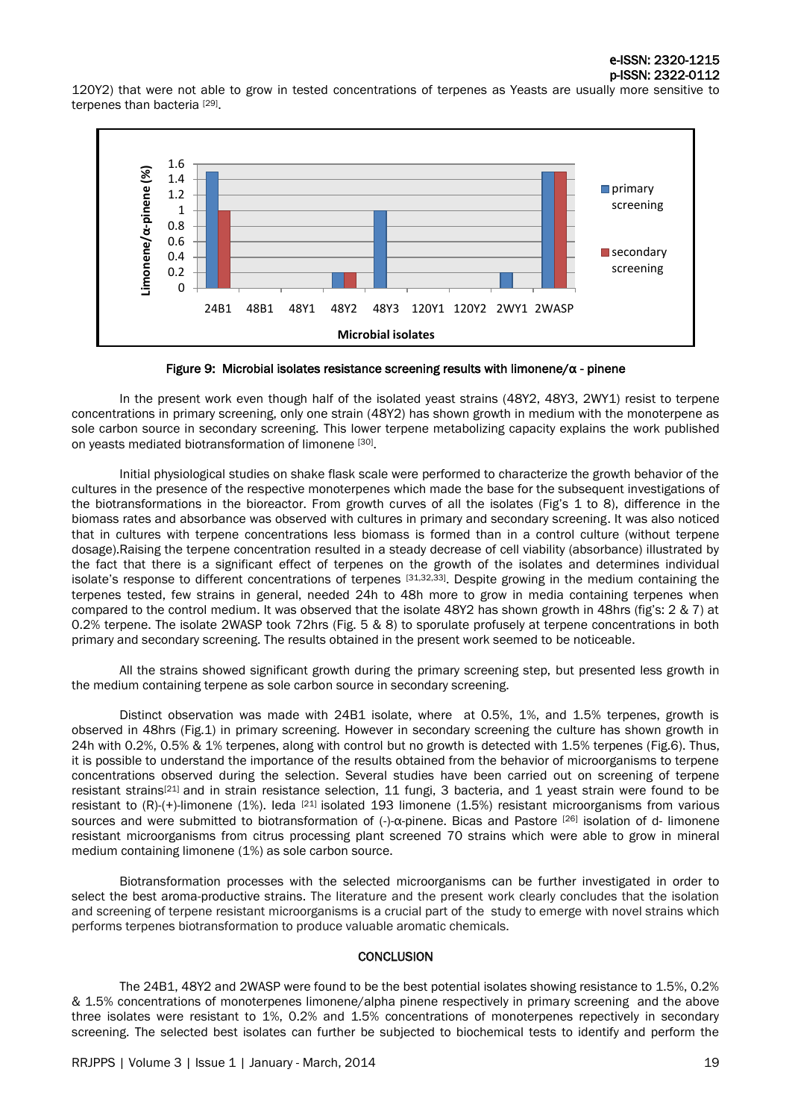120Y2) that were not able to grow in tested concentrations of terpenes as Yeasts are usually more sensitive to terpenes than bacteria [29].



Figure 9: Microbial isolates resistance screening results with limonene/α - pinene

In the present work even though half of the isolated yeast strains (48Y2, 48Y3, 2WY1) resist to terpene concentrations in primary screening, only one strain (48Y2) has shown growth in medium with the monoterpene as sole carbon source in secondary screening. This lower terpene metabolizing capacity explains the work published on yeasts mediated biotransformation of limonene [30].

Initial physiological studies on shake flask scale were performed to characterize the growth behavior of the cultures in the presence of the respective monoterpenes which made the base for the subsequent investigations of the biotransformations in the bioreactor. From growth curves of all the isolates (Fig's 1 to 8), difference in the biomass rates and absorbance was observed with cultures in primary and secondary screening. It was also noticed that in cultures with terpene concentrations less biomass is formed than in a control culture (without terpene dosage).Raising the terpene concentration resulted in a steady decrease of cell viability (absorbance) illustrated by the fact that there is a significant effect of terpenes on the growth of the isolates and determines individual isolate's response to different concentrations of terpenes [31,32,33]. Despite growing in the medium containing the terpenes tested, few strains in general, needed 24h to 48h more to grow in media containing terpenes when compared to the control medium. It was observed that the isolate 48Y2 has shown growth in 48hrs (fig's: 2 & 7) at 0.2% terpene. The isolate 2WASP took 72hrs (Fig. 5 & 8) to sporulate profusely at terpene concentrations in both primary and secondary screening. The results obtained in the present work seemed to be noticeable.

All the strains showed significant growth during the primary screening step, but presented less growth in the medium containing terpene as sole carbon source in secondary screening.

Distinct observation was made with 24B1 isolate, where at 0.5%, 1%, and 1.5% terpenes, growth is observed in 48hrs (Fig.1) in primary screening. However in secondary screening the culture has shown growth in 24h with 0.2%, 0.5% & 1% terpenes, along with control but no growth is detected with 1.5% terpenes (Fig.6). Thus, it is possible to understand the importance of the results obtained from the behavior of microorganisms to terpene concentrations observed during the selection. Several studies have been carried out on screening of terpene resistant strains[21] and in strain resistance selection, 11 fungi, 3 bacteria, and 1 yeast strain were found to be resistant to (R)-(+)-limonene (1%). Ieda [21] isolated 193 limonene (1.5%) resistant microorganisms from various sources and were submitted to biotransformation of (-)-α-pinene. Bicas and Pastore [26] isolation of d- limonene resistant microorganisms from citrus processing plant screened 70 strains which were able to grow in mineral medium containing limonene (1%) as sole carbon source.

Biotransformation processes with the selected microorganisms can be further investigated in order to select the best aroma-productive strains. The literature and the present work clearly concludes that the isolation and screening of terpene resistant microorganisms is a crucial part of the study to emerge with novel strains which performs terpenes biotransformation to produce valuable aromatic chemicals.

# **CONCLUSION**

The 24B1, 48Y2 and 2WASP were found to be the best potential isolates showing resistance to 1.5%, 0.2% & 1.5% concentrations of monoterpenes limonene/alpha pinene respectively in primary screening and the above three isolates were resistant to 1%, 0.2% and 1.5% concentrations of monoterpenes repectively in secondary screening. The selected best isolates can further be subjected to biochemical tests to identify and perform the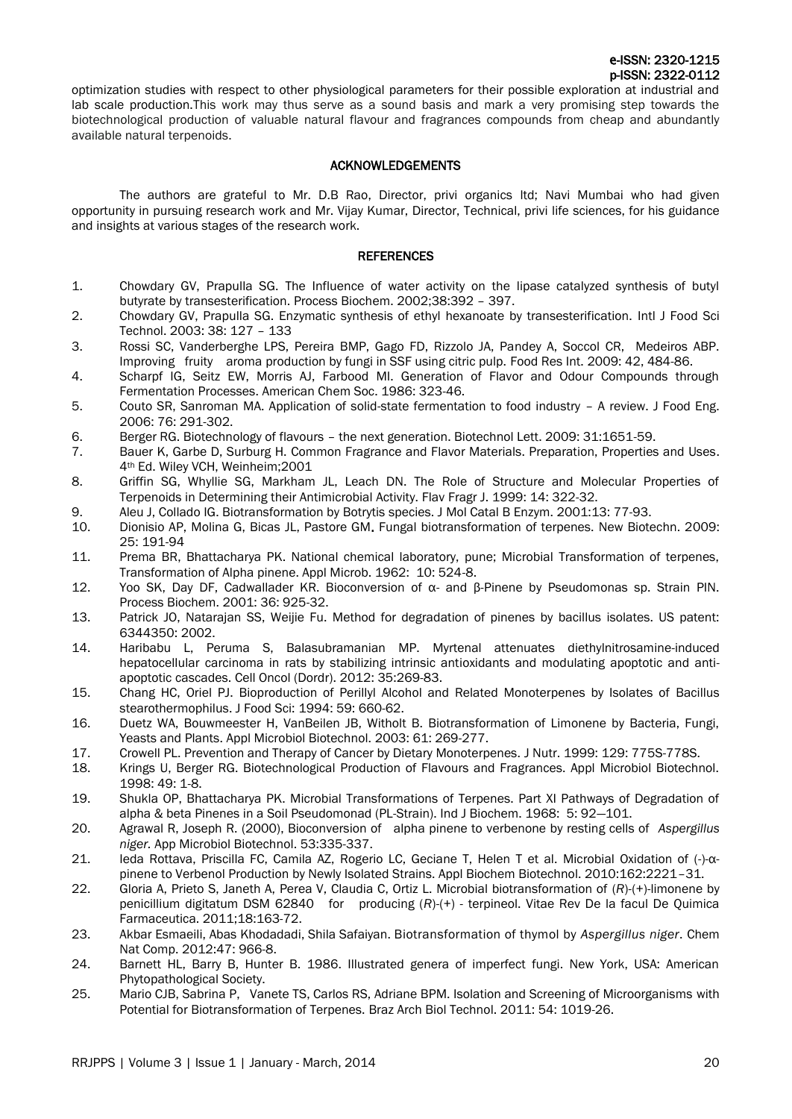optimization studies with respect to other physiological parameters for their possible exploration at industrial and lab scale production.This work may thus serve as a sound basis and mark a very promising step towards the biotechnological production of valuable natural flavour and fragrances compounds from cheap and abundantly available natural terpenoids.

# ACKNOWLEDGEMENTS

The authors are grateful to Mr. D.B Rao, Director, privi organics ltd; Navi Mumbai who had given opportunity in pursuing research work and Mr. Vijay Kumar, Director, Technical, privi life sciences, for his guidance and insights at various stages of the research work.

#### REFERENCES

- 1. Chowdary GV, Prapulla SG. The Influence of water activity on the lipase catalyzed synthesis of butyl butyrate by transesterification. Process Biochem. 2002;38:392 – 397.
- 2. Chowdary GV, Prapulla SG. Enzymatic synthesis of ethyl hexanoate by transesterification. Intl J Food Sci Technol. 2003: 38: 127 – 133
- 3. Rossi SC, Vanderberghe LPS, Pereira BMP, Gago FD, Rizzolo JA, Pandey A, Soccol CR, Medeiros ABP. Improving fruity aroma production by fungi in SSF using citric pulp. Food Res Int. 2009: 42, 484-86.
- 4. Scharpf IG, Seitz EW, Morris AJ, Farbood MI. Generation of Flavor and Odour Compounds through Fermentation Processes. American Chem Soc. 1986: 323-46.
- 5. Couto SR, Sanroman MA. Application of solid-state fermentation to food industry A review. J Food Eng. 2006: 76: 291-302.
- 6. Berger RG. Biotechnology of flavours the next generation. Biotechnol Lett. 2009: 31:1651-59.
- 7. Bauer K, Garbe D, Surburg H. Common Fragrance and Flavor Materials. Preparation, Properties and Uses. 4th Ed. Wiley VCH, Weinheim;2001
- 8. Griffin SG, Whyllie SG, Markham JL, Leach DN. The Role of Structure and Molecular Properties of Terpenoids in Determining their Antimicrobial Activity. Flav Fragr J. 1999: 14: 322-32.
- 9. Aleu J, Collado IG. Biotransformation by Botrytis species. J Mol Catal B Enzym. 2001:13: 77-93.
- 10. Dionisio AP, Molina G, Bicas JL, Pastore GM. Fungal biotransformation of terpenes. New Biotechn. 2009: 25: 191-94
- 11. Prema BR, Bhattacharya PK. National chemical laboratory, pune; Microbial Transformation of terpenes, Transformation of Alpha pinene. Appl Microb. 1962: 10: 524-8.
- 12. Yoo SK, Day DF, Cadwallader KR. Bioconversion of α- and β-Pinene by Pseudomonas sp. Strain PIN. Process Biochem. 2001: 36: 925-32.
- 13. Patrick JO, Natarajan SS, Weijie Fu. Method for degradation of pinenes by bacillus isolates. US patent: 6344350: 2002.
- 14. Haribabu L, [Peruma](http://www.ncbi.nlm.nih.gov/pubmed?term=Perumal%20S%5BAuthor%5D&cauthor=true&cauthor_uid=22763672) S, Balasubramanian MP. Myrtenal attenuates diethylnitrosamine-induced hepatocellular carcinoma in rats by stabilizing intrinsic antioxidants and modulating apoptotic and antiapoptotic cascades. Cell Oncol (Dordr). 2012: 35:269-83.
- 15. Chang HC, Oriel PJ. Bioproduction of Perillyl Alcohol and Related Monoterpenes by Isolates of Bacillus stearothermophilus. J Food Sci: 1994: 59: 660-62.
- 16. Duetz WA, Bouwmeester H, VanBeilen JB, Witholt B. Biotransformation of Limonene by Bacteria, Fungi, Yeasts and Plants. Appl Microbiol Biotechnol. 2003: 61: 269-277.
- 17. Crowell PL. Prevention and Therapy of Cancer by Dietary Monoterpenes. J Nutr. 1999: 129: 775S-778S.
- 18. Krings U, Berger RG. Biotechnological Production of Flavours and Fragrances. Appl Microbiol Biotechnol. 1998: 49: 1-8.
- 19. Shukla OP, Bhattacharya PK. Microbial Transformations of Terpenes. Part XI Pathways of Degradation of alpha & beta Pinenes in a Soil Pseudomonad (PL-Strain). Ind J Biochem. 1968: 5: 92—101.
- 20. Agrawal R, Joseph R. (2000), Bioconversion of alpha pinene to verbenone by resting cells of *Aspergillus niger.* App Microbiol Biotechnol. 53:335-337.
- 21. Ieda Rottava, Priscilla FC, Camila AZ, Rogerio LC, Geciane T, Helen T et al. Microbial Oxidation of (-)-αpinene to Verbenol Production by Newly Isolated Strains. Appl Biochem Biotechnol. 2010:162:2221–31.
- 22. Gloria A, Prieto S, Janeth A, Perea V, Claudia C, Ortiz L. Microbial biotransformation of (*R*)-(*+*)-limonene by penicillium digitatum DSM 62840 for producing (*R*)-(*+*) - terpineol. Vitae Rev De la facul De Quimica Farmaceutica. 2011;18:163-72.
- 23. [Akbar Esmaeili,](http://link.springer.com/search?facet-author=%22Akbar+Esmaeili%22) [Abas Khodadadi,](http://link.springer.com/search?facet-author=%22Abas+Khodadadi%22) [Shila Safaiyan.](http://link.springer.com/search?facet-author=%22Shila+Safaiyan%22) Biotransformation of thymol by *Aspergillus niger*. [Chem](http://link.springer.com/journal/10600)  [Nat Comp.](http://link.springer.com/journal/10600) 2012:47: 966-8.
- 24. Barnett HL, Barry B, Hunter B. 1986. Illustrated genera of imperfect fungi. New York, USA: American Phytopathological Society.
- 25. Mario CJB, Sabrina P, Vanete TS, Carlos RS, Adriane BPM. Isolation and Screening of Microorganisms with Potential for Biotransformation of Terpenes. Braz Arch Biol Technol. 2011: 54: 1019-26.